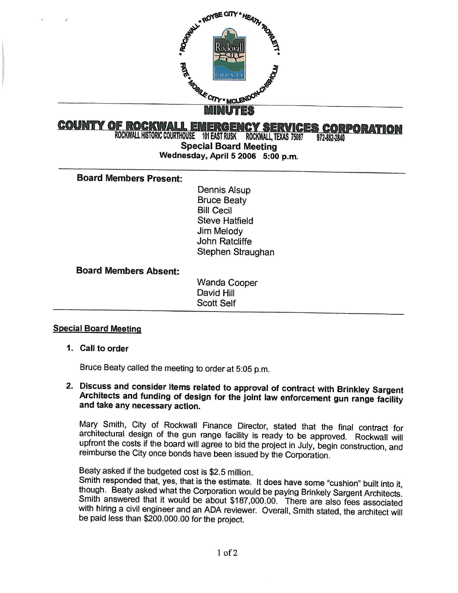

# **COUNTY OF ROCKWALL EMERGENCY SERVICES CORPORATION**<br>ROCKWALL HISTORIC COURTHOUSE 101 EAST RUSK ROCKWALL, TEXAS 75087 972-882-2840

Special Board Meeting Wednesday, April 5 2006 5:00 p.m.

Board Members Present:

Dennis Alsup Bruce Beaty Bill Cecil Steve Hatfield Jim Melody John Ratcliffe Stephen Straughan

Board Members Absent:

Wanda Cooper David Hill Scott Self

## Special Board Meeting

1. Call to order

Bruce Beaty called the meeting to order at 5:05 p. m.

# 2. Discuss and consider items related to approval of contract with Brinkley Sargent Architects and funding of design for the joint law enforcement gun range facility and take any necessary action.

Mary Smith, City of Rockwall Finance Director, stated that the final contract for architectural design of the gun range facility is ready to be approved. Rockwall will upfront the costs if the board will agree to bid the project in July, begin construction, and reimburse the City once bonds have been issued by the Corporation.

Beaty asked if the budgeted cost is \$2.5 million.

Smith responded that, yes, that is the estimate. It does have some "cushion" built into it, though. Beaty asked what the Corporation would be paying Brinkely Sargent Architects. Smith answered that it would be about \$187,000.00. There are also fees associated with hiring a civil engineer and an ADA reviewer. Overall, Smith stated, the architect will be paid less than \$200.000.00 for the project.